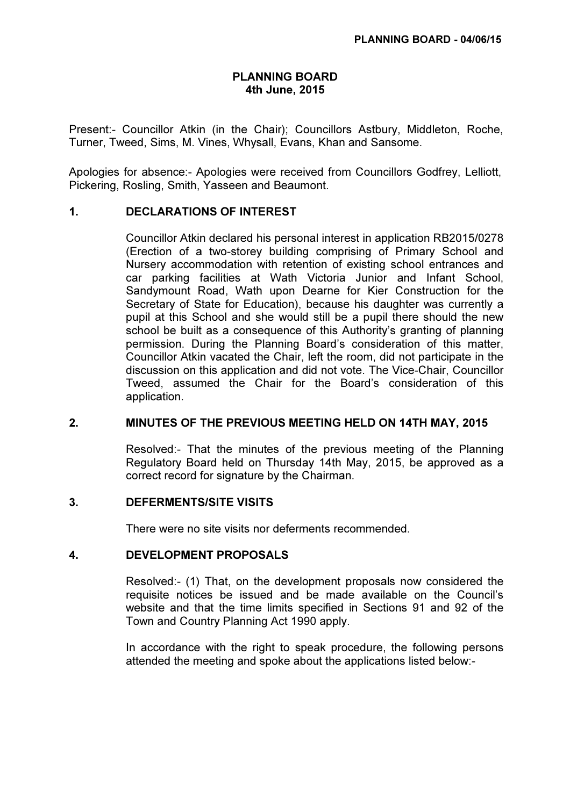## PLANNING BOARD 4th June, 2015

Present:- Councillor Atkin (in the Chair); Councillors Astbury, Middleton, Roche, Turner, Tweed, Sims, M. Vines, Whysall, Evans, Khan and Sansome.

Apologies for absence:- Apologies were received from Councillors Godfrey, Lelliott, Pickering, Rosling, Smith, Yasseen and Beaumont.

### 1. DECLARATIONS OF INTEREST

 Councillor Atkin declared his personal interest in application RB2015/0278 (Erection of a two-storey building comprising of Primary School and Nursery accommodation with retention of existing school entrances and car parking facilities at Wath Victoria Junior and Infant School, Sandymount Road, Wath upon Dearne for Kier Construction for the Secretary of State for Education), because his daughter was currently a pupil at this School and she would still be a pupil there should the new school be built as a consequence of this Authority's granting of planning permission. During the Planning Board's consideration of this matter, Councillor Atkin vacated the Chair, left the room, did not participate in the discussion on this application and did not vote. The Vice-Chair, Councillor Tweed, assumed the Chair for the Board's consideration of this application.

#### 2. MINUTES OF THE PREVIOUS MEETING HELD ON 14TH MAY, 2015

 Resolved:- That the minutes of the previous meeting of the Planning Regulatory Board held on Thursday 14th May, 2015, be approved as a correct record for signature by the Chairman.

#### 3. DEFERMENTS/SITE VISITS

There were no site visits nor deferments recommended.

#### 4. DEVELOPMENT PROPOSALS

 Resolved:- (1) That, on the development proposals now considered the requisite notices be issued and be made available on the Council's website and that the time limits specified in Sections 91 and 92 of the Town and Country Planning Act 1990 apply.

In accordance with the right to speak procedure, the following persons attended the meeting and spoke about the applications listed below:-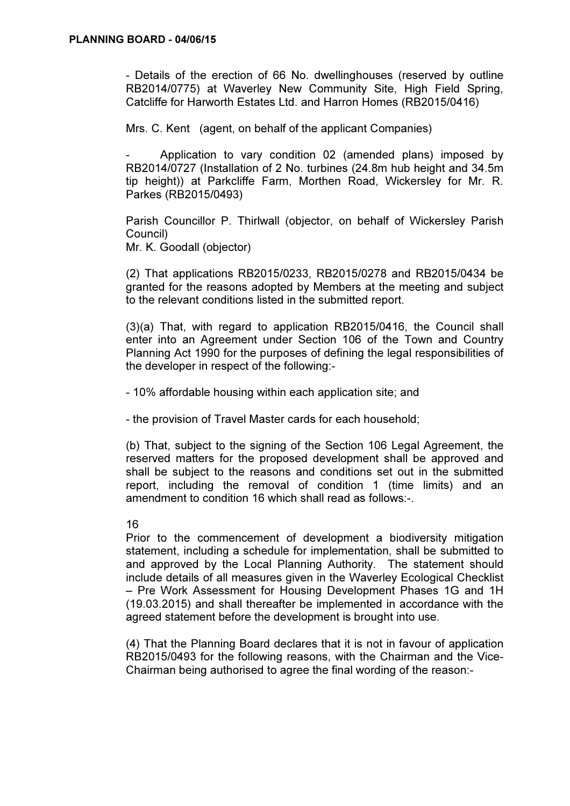- Details of the erection of 66 No. dwellinghouses (reserved by outline RB2014/0775) at Waverley New Community Site, High Field Spring, Catcliffe for Harworth Estates Ltd. and Harron Homes (RB2015/0416)

Mrs. C. Kent (agent, on behalf of the applicant Companies)

Application to vary condition 02 (amended plans) imposed by RB2014/0727 (Installation of 2 No. turbines (24.8m hub height and 34.5m tip height)) at Parkcliffe Farm, Morthen Road, Wickersley for Mr. R. Parkes (RB2015/0493)

Parish Councillor P. Thirlwall (objector, on behalf of Wickersley Parish Council) Mr. K. Goodall (objector)

(2) That applications RB2015/0233, RB2015/0278 and RB2015/0434 be granted for the reasons adopted by Members at the meeting and subject to the relevant conditions listed in the submitted report.

(3)(a) That, with regard to application RB2015/0416, the Council shall enter into an Agreement under Section 106 of the Town and Country Planning Act 1990 for the purposes of defining the legal responsibilities of the developer in respect of the following:-

- 10% affordable housing within each application site; and

- the provision of Travel Master cards for each household;

(b) That, subject to the signing of the Section 106 Legal Agreement, the reserved matters for the proposed development shall be approved and shall be subject to the reasons and conditions set out in the submitted report, including the removal of condition 1 (time limits) and an amendment to condition 16 which shall read as follows:-.

#### 16

Prior to the commencement of development a biodiversity mitigation statement, including a schedule for implementation, shall be submitted to and approved by the Local Planning Authority. The statement should include details of all measures given in the Waverley Ecological Checklist – Pre Work Assessment for Housing Development Phases 1G and 1H (19.03.2015) and shall thereafter be implemented in accordance with the agreed statement before the development is brought into use.

(4) That the Planning Board declares that it is not in favour of application RB2015/0493 for the following reasons, with the Chairman and the Vice-Chairman being authorised to agree the final wording of the reason:-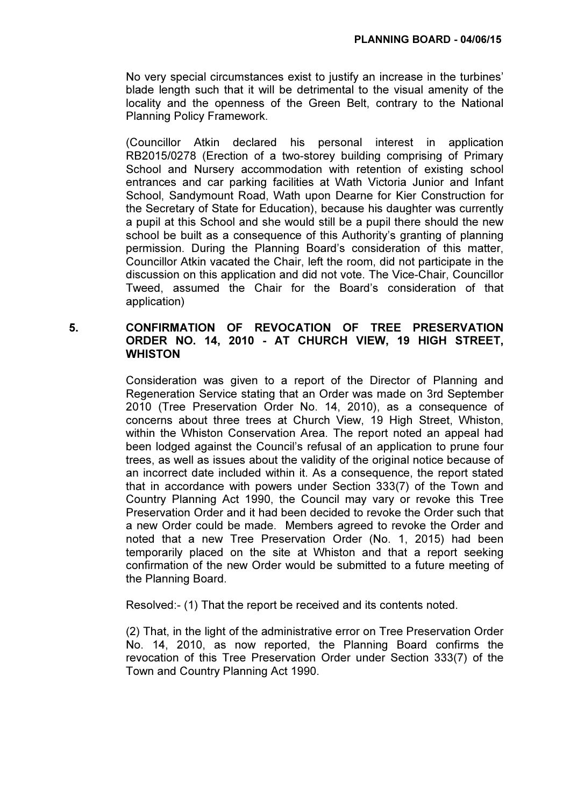No very special circumstances exist to justify an increase in the turbines' blade length such that it will be detrimental to the visual amenity of the locality and the openness of the Green Belt, contrary to the National Planning Policy Framework.

(Councillor Atkin declared his personal interest in application RB2015/0278 (Erection of a two-storey building comprising of Primary School and Nursery accommodation with retention of existing school entrances and car parking facilities at Wath Victoria Junior and Infant School, Sandymount Road, Wath upon Dearne for Kier Construction for the Secretary of State for Education), because his daughter was currently a pupil at this School and she would still be a pupil there should the new school be built as a consequence of this Authority's granting of planning permission. During the Planning Board's consideration of this matter, Councillor Atkin vacated the Chair, left the room, did not participate in the discussion on this application and did not vote. The Vice-Chair, Councillor Tweed, assumed the Chair for the Board's consideration of that application)

## 5. CONFIRMATION OF REVOCATION OF TREE PRESERVATION ORDER NO. 14, 2010 - AT CHURCH VIEW, 19 HIGH STREET, **WHISTON**

 Consideration was given to a report of the Director of Planning and Regeneration Service stating that an Order was made on 3rd September 2010 (Tree Preservation Order No. 14, 2010), as a consequence of concerns about three trees at Church View, 19 High Street, Whiston, within the Whiston Conservation Area. The report noted an appeal had been lodged against the Council's refusal of an application to prune four trees, as well as issues about the validity of the original notice because of an incorrect date included within it. As a consequence, the report stated that in accordance with powers under Section 333(7) of the Town and Country Planning Act 1990, the Council may vary or revoke this Tree Preservation Order and it had been decided to revoke the Order such that a new Order could be made. Members agreed to revoke the Order and noted that a new Tree Preservation Order (No. 1, 2015) had been temporarily placed on the site at Whiston and that a report seeking confirmation of the new Order would be submitted to a future meeting of the Planning Board.

Resolved:- (1) That the report be received and its contents noted.

(2) That, in the light of the administrative error on Tree Preservation Order No. 14, 2010, as now reported, the Planning Board confirms the revocation of this Tree Preservation Order under Section 333(7) of the Town and Country Planning Act 1990.